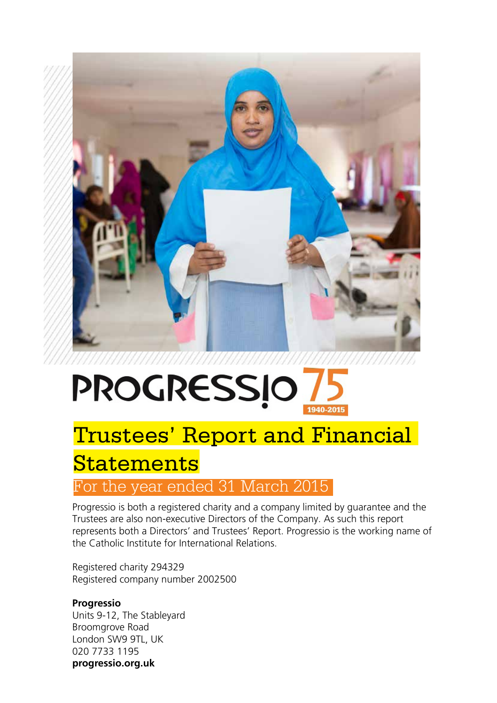

# **PROGRESSIO** 1940-2015

# Trustees' Report and Financial

# **Statements**

# For the year ended 31 March 2015

Progressio is both a registered charity and a company limited by guarantee and the Trustees are also non-executive Directors of the Company. As such this report represents both a Directors' and Trustees' Report. Progressio is the working name of the Catholic Institute for International Relations.

Registered charity 294329 Registered company number 2002500

# **Progressio**

Units 9-12, The Stableyard Broomgrove Road London SW9 9TL, UK 020 7733 1195 **progressio.org.uk**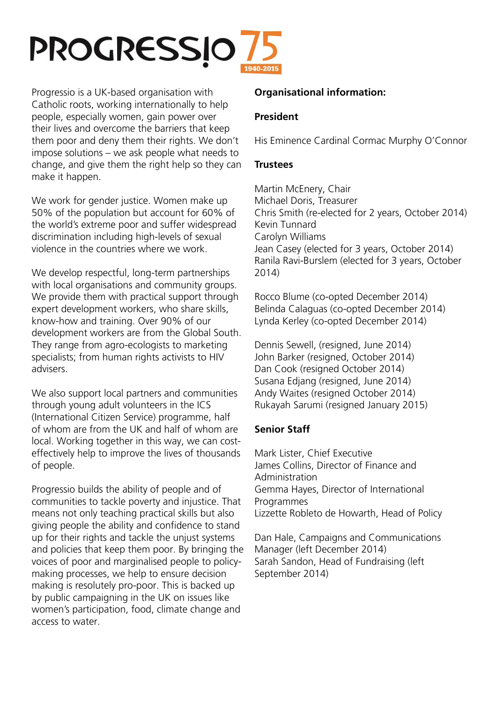# **PROGRESSIO**

Progressio is a UK-based organisation with Catholic roots, working internationally to help people, especially women, gain power over their lives and overcome the barriers that keep them poor and deny them their rights. We don't impose solutions – we ask people what needs to change, and give them the right help so they can make it happen.

We work for gender justice. Women make up 50% of the population but account for 60% of the world's extreme poor and suffer widespread discrimination including high-levels of sexual violence in the countries where we work.

We develop respectful, long-term partnerships with local organisations and community groups. We provide them with practical support through expert development workers, who share skills, know-how and training. Over 90% of our development workers are from the Global South. They range from agro-ecologists to marketing specialists; from human rights activists to HIV advisers.

We also support local partners and communities through young adult volunteers in the ICS (International Citizen Service) programme, half of whom are from the UK and half of whom are local. Working together in this way, we can costeffectively help to improve the lives of thousands of people.

Progressio builds the ability of people and of communities to tackle poverty and injustice. That means not only teaching practical skills but also giving people the ability and confidence to stand up for their rights and tackle the unjust systems and policies that keep them poor. By bringing the voices of poor and marginalised people to policymaking processes, we help to ensure decision making is resolutely pro-poor. This is backed up by public campaigning in the UK on issues like women's participation, food, climate change and access to water.

# **Organisational information:**

# **President**

His Eminence Cardinal Cormac Murphy O'Connor

#### **Trustees**

Martin McEnery, Chair Michael Doris, Treasurer Chris Smith (re-elected for 2 years, October 2014) Kevin Tunnard Carolyn Williams Jean Casey (elected for 3 years, October 2014) Ranila Ravi-Burslem (elected for 3 years, October 2014)

Rocco Blume (co-opted December 2014) Belinda Calaguas (co-opted December 2014) Lynda Kerley (co-opted December 2014)

Dennis Sewell, (resigned, June 2014) John Barker (resigned, October 2014) Dan Cook (resigned October 2014) Susana Edjang (resigned, June 2014) Andy Waites (resigned October 2014) Rukayah Sarumi (resigned January 2015)

# **Senior Staff**

Mark Lister, Chief Executive James Collins, Director of Finance and Administration Gemma Hayes, Director of International Programmes Lizzette Robleto de Howarth, Head of Policy

Dan Hale, Campaigns and Communications Manager (left December 2014) Sarah Sandon, Head of Fundraising (left September 2014)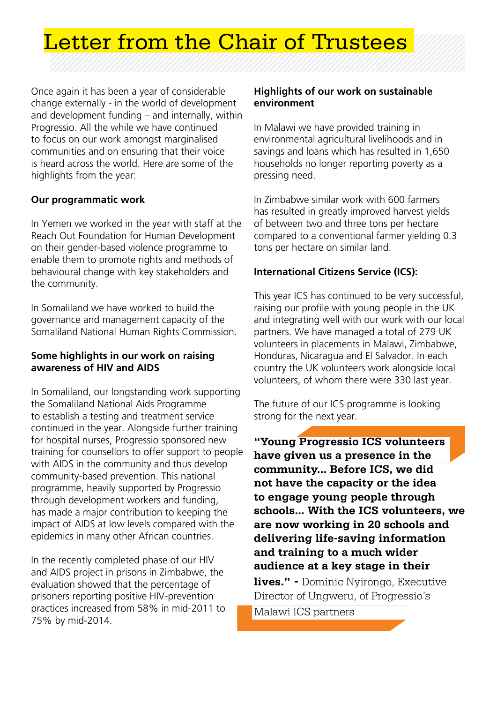

Once again it has been a year of considerable change externally - in the world of development and development funding – and internally, within Progressio. All the while we have continued to focus on our work amongst marginalised communities and on ensuring that their voice is heard across the world. Here are some of the highlights from the year:

# **Our programmatic work**

In Yemen we worked in the year with staff at the Reach Out Foundation for Human Development on their gender-based violence programme to enable them to promote rights and methods of behavioural change with key stakeholders and the community.

In Somaliland we have worked to build the governance and management capacity of the Somaliland National Human Rights Commission.

# **Some highlights in our work on raising awareness of HIV and AIDS**

In Somaliland, our longstanding work supporting the Somaliland National Aids Programme to establish a testing and treatment service continued in the year. Alongside further training for hospital nurses, Progressio sponsored new training for counsellors to offer support to people with AIDS in the community and thus develop community-based prevention. This national programme, heavily supported by Progressio through development workers and funding, has made a major contribution to keeping the impact of AIDS at low levels compared with the epidemics in many other African countries.

In the recently completed phase of our HIV and AIDS project in prisons in Zimbabwe, the evaluation showed that the percentage of prisoners reporting positive HIV-prevention practices increased from 58% in mid-2011 to 75% by mid-2014.

#### **Highlights of our work on sustainable environment**

In Malawi we have provided training in environmental agricultural livelihoods and in savings and loans which has resulted in 1,650 households no longer reporting poverty as a pressing need.

In Zimbabwe similar work with 600 farmers has resulted in greatly improved harvest yields of between two and three tons per hectare compared to a conventional farmer yielding 0.3 tons per hectare on similar land.

# **International Citizens Service (ICS):**

This year ICS has continued to be very successful, raising our profile with young people in the UK and integrating well with our work with our local partners. We have managed a total of 279 UK volunteers in placements in Malawi, Zimbabwe, Honduras, Nicaragua and El Salvador. In each country the UK volunteers work alongside local volunteers, of whom there were 330 last year.

The future of our ICS programme is looking strong for the next year.

**"Young Progressio ICS volunteers have given us a presence in the community... Before ICS, we did not have the capacity or the idea to engage young people through schools... With the ICS volunteers, we are now working in 20 schools and delivering life-saving information and training to a much wider audience at a key stage in their** 

**lives." -** Dominic Nyirongo, Executive Director of Ungweru, of Progressio's Malawi ICS partners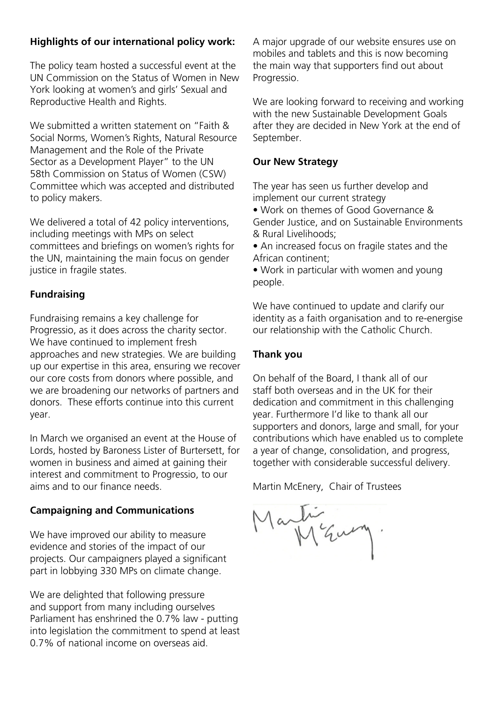# **Highlights of our international policy work:**

The policy team hosted a successful event at the UN Commission on the Status of Women in New York looking at women's and girls' Sexual and Reproductive Health and Rights.

We submitted a written statement on "Faith & Social Norms, Women's Rights, Natural Resource Management and the Role of the Private Sector as a Development Player" to the UN 58th Commission on Status of Women (CSW) Committee which was accepted and distributed to policy makers.

We delivered a total of 42 policy interventions, including meetings with MPs on select committees and briefings on women's rights for the UN, maintaining the main focus on gender justice in fragile states.

# **Fundraising**

Fundraising remains a key challenge for Progressio, as it does across the charity sector. We have continued to implement fresh approaches and new strategies. We are building up our expertise in this area, ensuring we recover our core costs from donors where possible, and we are broadening our networks of partners and donors. These efforts continue into this current year.

In March we organised an event at the House of Lords, hosted by Baroness Lister of Burtersett, for women in business and aimed at gaining their interest and commitment to Progressio, to our aims and to our finance needs.

# **Campaigning and Communications**

We have improved our ability to measure evidence and stories of the impact of our projects. Our campaigners played a significant part in lobbying 330 MPs on climate change.

We are delighted that following pressure and support from many including ourselves Parliament has enshrined the 0.7% law - putting into legislation the commitment to spend at least 0.7% of national income on overseas aid.

A major upgrade of our website ensures use on mobiles and tablets and this is now becoming the main way that supporters find out about Progressio.

We are looking forward to receiving and working with the new Sustainable Development Goals after they are decided in New York at the end of September.

# **Our New Strategy**

The year has seen us further develop and implement our current strategy

• Work on themes of Good Governance & Gender Justice, and on Sustainable Environments & Rural Livelihoods;

• An increased focus on fragile states and the African continent;

• Work in particular with women and young people.

We have continued to update and clarify our identity as a faith organisation and to re-energise our relationship with the Catholic Church.

# **Thank you**

On behalf of the Board, I thank all of our staff both overseas and in the UK for their dedication and commitment in this challenging year. Furthermore I'd like to thank all our supporters and donors, large and small, for your contributions which have enabled us to complete a year of change, consolidation, and progress, together with considerable successful delivery.

Martin McEnery, Chair of Trustees

Martin Eury.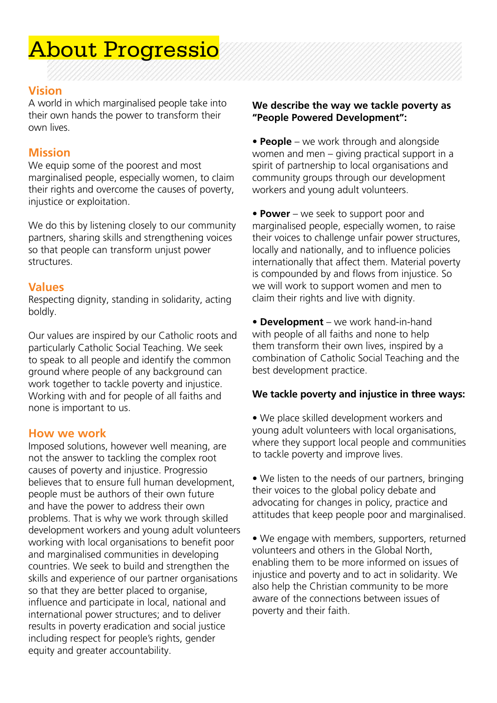# About Progressio

# **Vision**

A world in which marginalised people take into their own hands the power to transform their own lives.

# **Mission**

We equip some of the poorest and most marginalised people, especially women, to claim their rights and overcome the causes of poverty, injustice or exploitation.

We do this by listening closely to our community partners, sharing skills and strengthening voices so that people can transform unjust power structures.

# **Values**

Respecting dignity, standing in solidarity, acting boldly.

Our values are inspired by our Catholic roots and particularly Catholic Social Teaching. We seek to speak to all people and identify the common ground where people of any background can work together to tackle poverty and injustice. Working with and for people of all faiths and none is important to us.

# **How we work**

Imposed solutions, however well meaning, are not the answer to tackling the complex root causes of poverty and injustice. Progressio believes that to ensure full human development, people must be authors of their own future and have the power to address their own problems. That is why we work through skilled development workers and young adult volunteers working with local organisations to benefit poor and marginalised communities in developing countries. We seek to build and strengthen the skills and experience of our partner organisations so that they are better placed to organise, influence and participate in local, national and international power structures; and to deliver results in poverty eradication and social justice including respect for people's rights, gender equity and greater accountability.

#### **We describe the way we tackle poverty as "People Powered Development":**

• **People** – we work through and alongside women and men – giving practical support in a spirit of partnership to local organisations and community groups through our development workers and young adult volunteers.

• **Power** – we seek to support poor and marginalised people, especially women, to raise their voices to challenge unfair power structures, locally and nationally, and to influence policies internationally that affect them. Material poverty is compounded by and flows from injustice. So we will work to support women and men to claim their rights and live with dignity.

• **Development** – we work hand-in-hand with people of all faiths and none to help them transform their own lives, inspired by a combination of Catholic Social Teaching and the best development practice.

#### **We tackle poverty and injustice in three ways:**

• We place skilled development workers and young adult volunteers with local organisations, where they support local people and communities to tackle poverty and improve lives.

• We listen to the needs of our partners, bringing their voices to the global policy debate and advocating for changes in policy, practice and attitudes that keep people poor and marginalised.

• We engage with members, supporters, returned volunteers and others in the Global North, enabling them to be more informed on issues of injustice and poverty and to act in solidarity. We also help the Christian community to be more aware of the connections between issues of poverty and their faith.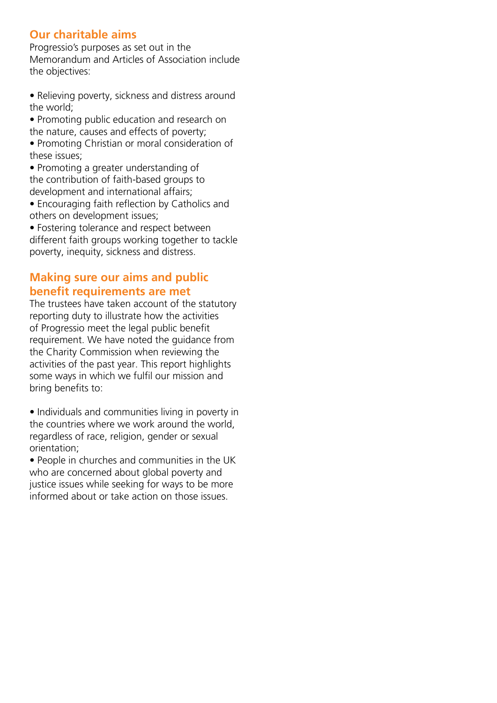# **Our charitable aims**

Progressio's purposes as set out in the Memorandum and Articles of Association include the objectives:

- Relieving poverty, sickness and distress around the world;
- Promoting public education and research on the nature, causes and effects of poverty;
- Promoting Christian or moral consideration of these issues;
- Promoting a greater understanding of the contribution of faith-based groups to development and international affairs;
- Encouraging faith reflection by Catholics and others on development issues;
- Fostering tolerance and respect between different faith groups working together to tackle poverty, inequity, sickness and distress.

# **Making sure our aims and public benefit requirements are met**

The trustees have taken account of the statutory reporting duty to illustrate how the activities of Progressio meet the legal public benefit requirement. We have noted the guidance from the Charity Commission when reviewing the activities of the past year. This report highlights some ways in which we fulfil our mission and bring benefits to:

- Individuals and communities living in poverty in the countries where we work around the world, regardless of race, religion, gender or sexual orientation;
- People in churches and communities in the UK who are concerned about global poverty and justice issues while seeking for ways to be more informed about or take action on those issues.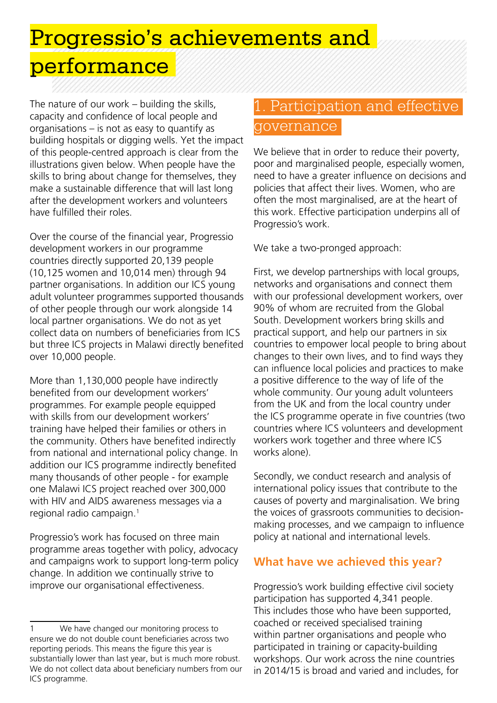Progressio's achievements and performance

The nature of our work – building the skills, capacity and confidence of local people and organisations – is not as easy to quantify as building hospitals or digging wells. Yet the impact of this people-centred approach is clear from the illustrations given below. When people have the skills to bring about change for themselves, they make a sustainable difference that will last long after the development workers and volunteers have fulfilled their roles.

Over the course of the financial year, Progressio development workers in our programme countries directly supported 20,139 people (10,125 women and 10,014 men) through 94 partner organisations. In addition our ICS young adult volunteer programmes supported thousands of other people through our work alongside 14 local partner organisations. We do not as yet collect data on numbers of beneficiaries from ICS but three ICS projects in Malawi directly benefited over 10,000 people.

More than 1,130,000 people have indirectly benefited from our development workers' programmes. For example people equipped with skills from our development workers' training have helped their families or others in the community. Others have benefited indirectly from national and international policy change. In addition our ICS programme indirectly benefited many thousands of other people - for example one Malawi ICS project reached over 300,000 with HIV and AIDS awareness messages via a regional radio campaign.1

Progressio's work has focused on three main programme areas together with policy, advocacy and campaigns work to support long-term policy change. In addition we continually strive to improve our organisational effectiveness.

# 1. Participation and effective governance

We believe that in order to reduce their poverty, poor and marginalised people, especially women, need to have a greater influence on decisions and policies that affect their lives. Women, who are often the most marginalised, are at the heart of this work. Effective participation underpins all of Progressio's work.

We take a two-pronged approach:

First, we develop partnerships with local groups, networks and organisations and connect them with our professional development workers, over 90% of whom are recruited from the Global South. Development workers bring skills and practical support, and help our partners in six countries to empower local people to bring about changes to their own lives, and to find ways they can influence local policies and practices to make a positive difference to the way of life of the whole community. Our young adult volunteers from the UK and from the local country under the ICS programme operate in five countries (two countries where ICS volunteers and development workers work together and three where ICS works alone).

Secondly, we conduct research and analysis of international policy issues that contribute to the causes of poverty and marginalisation. We bring the voices of grassroots communities to decisionmaking processes, and we campaign to influence policy at national and international levels.

# **What have we achieved this year?**

Progressio's work building effective civil society participation has supported 4,341 people. This includes those who have been supported, coached or received specialised training within partner organisations and people who participated in training or capacity-building workshops. Our work across the nine countries in 2014/15 is broad and varied and includes, for

<sup>1</sup> We have changed our monitoring process to ensure we do not double count beneficiaries across two reporting periods. This means the figure this year is substantially lower than last year, but is much more robust. We do not collect data about beneficiary numbers from our ICS programme.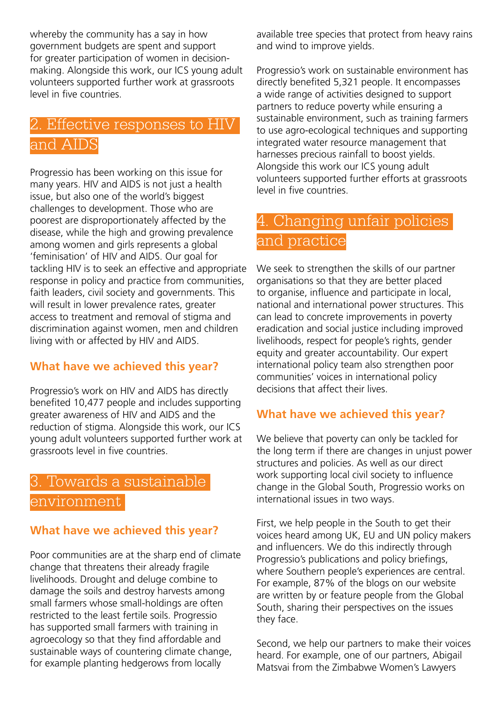whereby the community has a say in how government budgets are spent and support for greater participation of women in decisionmaking. Alongside this work, our ICS young adult volunteers supported further work at grassroots level in five countries.

# 2. Effective responses to HIV and AIDS

Progressio has been working on this issue for many years. HIV and AIDS is not just a health issue, but also one of the world's biggest challenges to development. Those who are poorest are disproportionately affected by the disease, while the high and growing prevalence among women and girls represents a global 'feminisation' of HIV and AIDS. Our goal for tackling HIV is to seek an effective and appropriate response in policy and practice from communities, faith leaders, civil society and governments. This will result in lower prevalence rates, greater access to treatment and removal of stigma and discrimination against women, men and children living with or affected by HIV and AIDS.

# **What have we achieved this year?**

Progressio's work on HIV and AIDS has directly benefited 10,477 people and includes supporting greater awareness of HIV and AIDS and the reduction of stigma. Alongside this work, our ICS young adult volunteers supported further work at grassroots level in five countries.

# 3. Towards a sustainable environment

# **What have we achieved this year?**

Poor communities are at the sharp end of climate change that threatens their already fragile livelihoods. Drought and deluge combine to damage the soils and destroy harvests among small farmers whose small-holdings are often restricted to the least fertile soils. Progressio has supported small farmers with training in agroecology so that they find affordable and sustainable ways of countering climate change, for example planting hedgerows from locally

available tree species that protect from heavy rains and wind to improve yields.

Progressio's work on sustainable environment has directly benefited 5,321 people. It encompasses a wide range of activities designed to support partners to reduce poverty while ensuring a sustainable environment, such as training farmers to use agro-ecological techniques and supporting integrated water resource management that harnesses precious rainfall to boost yields. Alongside this work our ICS young adult volunteers supported further efforts at grassroots level in five countries.

# 4. Changing unfair policies and practice

We seek to strengthen the skills of our partner organisations so that they are better placed to organise, influence and participate in local, national and international power structures. This can lead to concrete improvements in poverty eradication and social justice including improved livelihoods, respect for people's rights, gender equity and greater accountability. Our expert international policy team also strengthen poor communities' voices in international policy decisions that affect their lives.

# **What have we achieved this year?**

We believe that poverty can only be tackled for the long term if there are changes in unjust power structures and policies. As well as our direct work supporting local civil society to influence change in the Global South, Progressio works on international issues in two ways.

First, we help people in the South to get their voices heard among UK, EU and UN policy makers and influencers. We do this indirectly through Progressio's publications and policy briefings, where Southern people's experiences are central. For example, 87% of the blogs on our website are written by or feature people from the Global South, sharing their perspectives on the issues they face.

Second, we help our partners to make their voices heard. For example, one of our partners, Abigail Matsvai from the Zimbabwe Women's Lawyers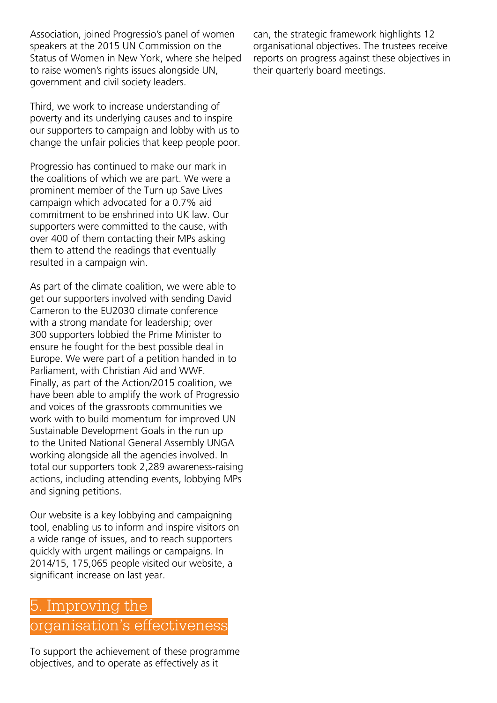Association, joined Progressio's panel of women speakers at the 2015 UN Commission on the Status of Women in New York, where she helped to raise women's rights issues alongside UN, government and civil society leaders.

Third, we work to increase understanding of poverty and its underlying causes and to inspire our supporters to campaign and lobby with us to change the unfair policies that keep people poor.

Progressio has continued to make our mark in the coalitions of which we are part. We were a prominent member of the Turn up Save Lives campaign which advocated for a 0.7% aid commitment to be enshrined into UK law. Our supporters were committed to the cause, with over 400 of them contacting their MPs asking them to attend the readings that eventually resulted in a campaign win.

As part of the climate coalition, we were able to get our supporters involved with sending David Cameron to the EU2030 climate conference with a strong mandate for leadership; over 300 supporters lobbied the Prime Minister to ensure he fought for the best possible deal in Europe. We were part of a petition handed in to Parliament, with Christian Aid and WWF. Finally, as part of the Action/2015 coalition, we have been able to amplify the work of Progressio and voices of the grassroots communities we work with to build momentum for improved UN Sustainable Development Goals in the run up to the United National General Assembly UNGA working alongside all the agencies involved. In total our supporters took 2,289 awareness-raising actions, including attending events, lobbying MPs and signing petitions.

Our website is a key lobbying and campaigning tool, enabling us to inform and inspire visitors on a wide range of issues, and to reach supporters quickly with urgent mailings or campaigns. In 2014/15, 175,065 people visited our website, a significant increase on last year.

# 5. Improving the

# organisation's effectiveness

To support the achievement of these programme objectives, and to operate as effectively as it

can, the strategic framework highlights 12 organisational objectives. The trustees receive reports on progress against these objectives in their quarterly board meetings.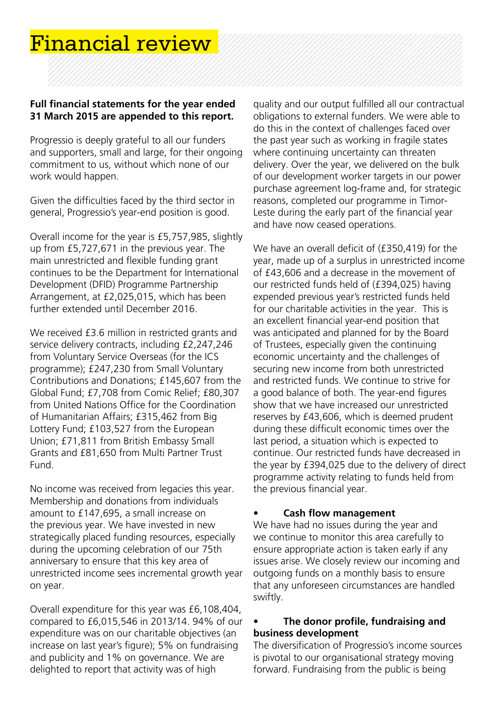# Financial review

# **Full financial statements for the year ended 31 March 2015 are appended to this report.**

Progressio is deeply grateful to all our funders and supporters, small and large, for their ongoing commitment to us, without which none of our work would happen.

Given the difficulties faced by the third sector in general, Progressio's year-end position is good.

Overall income for the year is £5,757,985, slightly up from £5,727,671 in the previous year. The main unrestricted and flexible funding grant continues to be the Department for International Development (DFID) Programme Partnership Arrangement, at £2,025,015, which has been further extended until December 2016.

We received £3.6 million in restricted grants and service delivery contracts, including £2,247,246 from Voluntary Service Overseas (for the ICS programme); £247,230 from Small Voluntary Contributions and Donations; £145,607 from the Global Fund; £7,708 from Comic Relief; £80,307 from United Nations Office for the Coordination of Humanitarian Affairs; £315,462 from Big Lottery Fund; £103,527 from the European Union; £71,811 from British Embassy Small Grants and £81,650 from Multi Partner Trust Fund.

No income was received from legacies this year. Membership and donations from individuals amount to £147,695, a small increase on the previous year. We have invested in new strategically placed funding resources, especially during the upcoming celebration of our 75th anniversary to ensure that this key area of unrestricted income sees incremental growth year on year.

Overall expenditure for this year was £6,108,404, compared to £6,015,546 in 2013/14. 94% of our expenditure was on our charitable objectives (an increase on last year's figure); 5% on fundraising and publicity and 1% on governance. We are delighted to report that activity was of high

quality and our output fulfilled all our contractual obligations to external funders. We were able to do this in the context of challenges faced over the past year such as working in fragile states where continuing uncertainty can threaten delivery. Over the year, we delivered on the bulk of our development worker targets in our power purchase agreement log-frame and, for strategic reasons, completed our programme in Timor-Leste during the early part of the financial year and have now ceased operations.

We have an overall deficit of (£350,419) for the year, made up of a surplus in unrestricted income of £43,606 and a decrease in the movement of our restricted funds held of (£394,025) having expended previous year's restricted funds held for our charitable activities in the year. This is an excellent financial year-end position that was anticipated and planned for by the Board of Trustees, especially given the continuing economic uncertainty and the challenges of securing new income from both unrestricted and restricted funds. We continue to strive for a good balance of both. The year-end figures show that we have increased our unrestricted reserves by £43,606, which is deemed prudent during these difficult economic times over the last period, a situation which is expected to continue. Our restricted funds have decreased in the year by £394,025 due to the delivery of direct programme activity relating to funds held from the previous financial year.

#### **Cash flow management**

We have had no issues during the year and we continue to monitor this area carefully to ensure appropriate action is taken early if any issues arise. We closely review our incoming and outgoing funds on a monthly basis to ensure that any unforeseen circumstances are handled swiftly.

### **• The donor profile, fundraising and business development**

The diversification of Progressio's income sources is pivotal to our organisational strategy moving forward. Fundraising from the public is being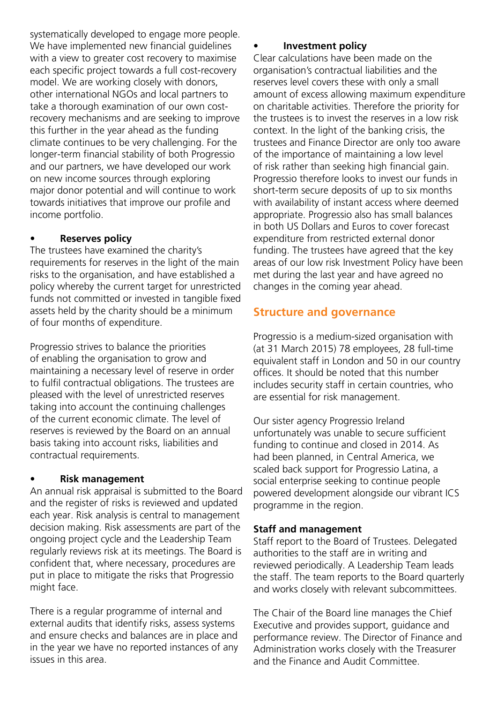systematically developed to engage more people. We have implemented new financial guidelines with a view to greater cost recovery to maximise each specific project towards a full cost-recovery model. We are working closely with donors, other international NGOs and local partners to take a thorough examination of our own costrecovery mechanisms and are seeking to improve this further in the year ahead as the funding climate continues to be very challenging. For the longer-term financial stability of both Progressio and our partners, we have developed our work on new income sources through exploring major donor potential and will continue to work towards initiatives that improve our profile and income portfolio.

# **• Reserves policy**

The trustees have examined the charity's requirements for reserves in the light of the main risks to the organisation, and have established a policy whereby the current target for unrestricted funds not committed or invested in tangible fixed assets held by the charity should be a minimum of four months of expenditure.

Progressio strives to balance the priorities of enabling the organisation to grow and maintaining a necessary level of reserve in order to fulfil contractual obligations. The trustees are pleased with the level of unrestricted reserves taking into account the continuing challenges of the current economic climate. The level of reserves is reviewed by the Board on an annual basis taking into account risks, liabilities and contractual requirements.

#### **• Risk management**

An annual risk appraisal is submitted to the Board and the register of risks is reviewed and updated each year. Risk analysis is central to management decision making. Risk assessments are part of the ongoing project cycle and the Leadership Team regularly reviews risk at its meetings. The Board is confident that, where necessary, procedures are put in place to mitigate the risks that Progressio might face.

There is a regular programme of internal and external audits that identify risks, assess systems and ensure checks and balances are in place and in the year we have no reported instances of any issues in this area.

### **• Investment policy**

Clear calculations have been made on the organisation's contractual liabilities and the reserves level covers these with only a small amount of excess allowing maximum expenditure on charitable activities. Therefore the priority for the trustees is to invest the reserves in a low risk context. In the light of the banking crisis, the trustees and Finance Director are only too aware of the importance of maintaining a low level of risk rather than seeking high financial gain. Progressio therefore looks to invest our funds in short-term secure deposits of up to six months with availability of instant access where deemed appropriate. Progressio also has small balances in both US Dollars and Euros to cover forecast expenditure from restricted external donor funding. The trustees have agreed that the key areas of our low risk Investment Policy have been met during the last year and have agreed no changes in the coming year ahead.

# **Structure and governance**

Progressio is a medium-sized organisation with (at 31 March 2015) 78 employees, 28 full-time equivalent staff in London and 50 in our country offices. It should be noted that this number includes security staff in certain countries, who are essential for risk management.

Our sister agency Progressio Ireland unfortunately was unable to secure sufficient funding to continue and closed in 2014. As had been planned, in Central America, we scaled back support for Progressio Latina, a social enterprise seeking to continue people powered development alongside our vibrant ICS programme in the region.

# **Staff and management**

Staff report to the Board of Trustees. Delegated authorities to the staff are in writing and reviewed periodically. A Leadership Team leads the staff. The team reports to the Board quarterly and works closely with relevant subcommittees.

The Chair of the Board line manages the Chief Executive and provides support, guidance and performance review. The Director of Finance and Administration works closely with the Treasurer and the Finance and Audit Committee.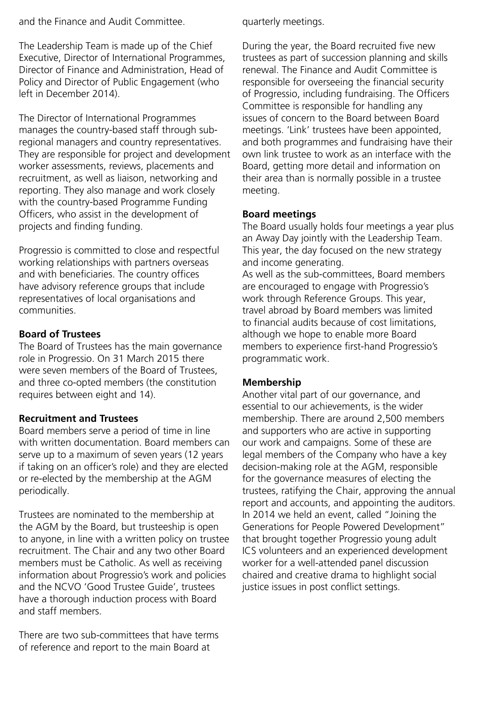and the Finance and Audit Committee.

The Leadership Team is made up of the Chief Executive, Director of International Programmes, Director of Finance and Administration, Head of Policy and Director of Public Engagement (who left in December 2014).

The Director of International Programmes manages the country-based staff through subregional managers and country representatives. They are responsible for project and development worker assessments, reviews, placements and recruitment, as well as liaison, networking and reporting. They also manage and work closely with the country-based Programme Funding Officers, who assist in the development of projects and finding funding.

Progressio is committed to close and respectful working relationships with partners overseas and with beneficiaries. The country offices have advisory reference groups that include representatives of local organisations and communities.

### **Board of Trustees**

The Board of Trustees has the main governance role in Progressio. On 31 March 2015 there were seven members of the Board of Trustees, and three co-opted members (the constitution requires between eight and 14).

# **Recruitment and Trustees**

Board members serve a period of time in line with written documentation. Board members can serve up to a maximum of seven years (12 years if taking on an officer's role) and they are elected or re-elected by the membership at the AGM periodically.

Trustees are nominated to the membership at the AGM by the Board, but trusteeship is open to anyone, in line with a written policy on trustee recruitment. The Chair and any two other Board members must be Catholic. As well as receiving information about Progressio's work and policies and the NCVO 'Good Trustee Guide', trustees have a thorough induction process with Board and staff members.

There are two sub-committees that have terms of reference and report to the main Board at

quarterly meetings.

During the year, the Board recruited five new trustees as part of succession planning and skills renewal. The Finance and Audit Committee is responsible for overseeing the financial security of Progressio, including fundraising. The Officers Committee is responsible for handling any issues of concern to the Board between Board meetings. 'Link' trustees have been appointed, and both programmes and fundraising have their own link trustee to work as an interface with the Board, getting more detail and information on their area than is normally possible in a trustee meeting.

### **Board meetings**

The Board usually holds four meetings a year plus an Away Day jointly with the Leadership Team. This year, the day focused on the new strategy and income generating.

As well as the sub-committees, Board members are encouraged to engage with Progressio's work through Reference Groups. This year, travel abroad by Board members was limited to financial audits because of cost limitations, although we hope to enable more Board members to experience first-hand Progressio's programmatic work.

# **Membership**

Another vital part of our governance, and essential to our achievements, is the wider membership. There are around 2,500 members and supporters who are active in supporting our work and campaigns. Some of these are legal members of the Company who have a key decision-making role at the AGM, responsible for the governance measures of electing the trustees, ratifying the Chair, approving the annual report and accounts, and appointing the auditors. In 2014 we held an event, called "Joining the Generations for People Powered Development" that brought together Progressio young adult ICS volunteers and an experienced development worker for a well-attended panel discussion chaired and creative drama to highlight social justice issues in post conflict settings.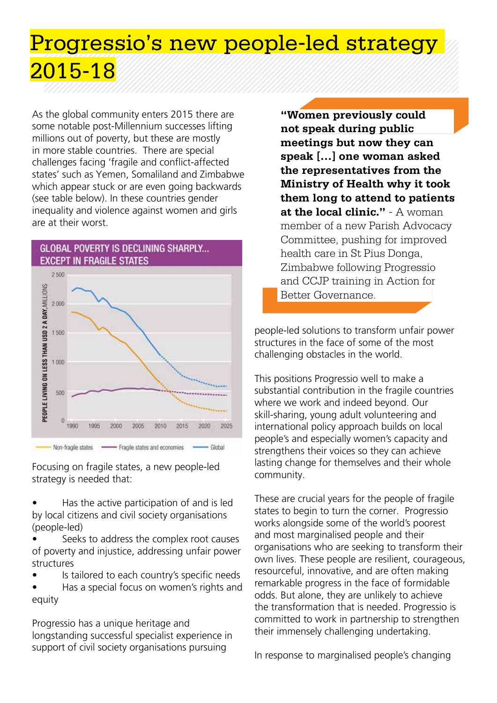# Progressio's new people-led strategy 2015-18

As the global community enters 2015 there are some notable post-Millennium successes lifting millions out of poverty, but these are mostly in more stable countries. There are special challenges facing 'fragile and conflict-affected states' such as Yemen, Somaliland and Zimbabwe which appear stuck or are even going backwards (see table below). In these countries gender inequality and violence against women and girls are at their worst.



Focusing on fragile states, a new people-led strategy is needed that:

• Has the active participation of and is led by local citizens and civil society organisations (people-led)

- Seeks to address the complex root causes of poverty and injustice, addressing unfair power structures
- Is tailored to each country's specific needs

• Has a special focus on women's rights and equity

Progressio has a unique heritage and longstanding successful specialist experience in support of civil society organisations pursuing

**"Women previously could not speak during public meetings but now they can speak […] one woman asked the representatives from the Ministry of Health why it took them long to attend to patients at the local clinic."** - A woman member of a new Parish Advocacy Committee, pushing for improved health care in St Pius Donga, Zimbabwe following Progressio and CCJP training in Action for Better Governance.

people-led solutions to transform unfair power structures in the face of some of the most challenging obstacles in the world.

This positions Progressio well to make a substantial contribution in the fragile countries where we work and indeed beyond. Our skill-sharing, young adult volunteering and international policy approach builds on local people's and especially women's capacity and strengthens their voices so they can achieve lasting change for themselves and their whole community.

These are crucial years for the people of fragile states to begin to turn the corner. Progressio works alongside some of the world's poorest and most marginalised people and their organisations who are seeking to transform their own lives. These people are resilient, courageous, resourceful, innovative, and are often making remarkable progress in the face of formidable odds. But alone, they are unlikely to achieve the transformation that is needed. Progressio is committed to work in partnership to strengthen their immensely challenging undertaking.

In response to marginalised people's changing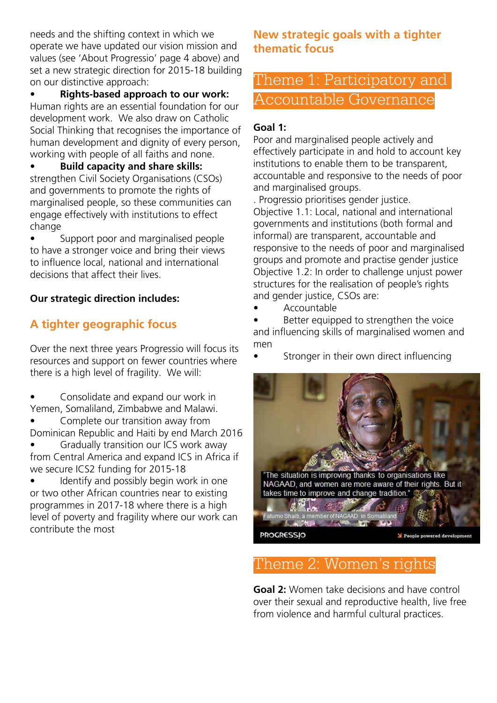needs and the shifting context in which we operate we have updated our vision mission and values (see 'About Progressio' page 4 above) and set a new strategic direction for 2015-18 building on our distinctive approach:

• **Rights-based approach to our work:** Human rights are an essential foundation for our development work. We also draw on Catholic Social Thinking that recognises the importance of human development and dignity of every person, working with people of all faiths and none.

• **Build capacity and share skills:**  strengthen Civil Society Organisations (CSOs) and governments to promote the rights of marginalised people, so these communities can engage effectively with institutions to effect change

• Support poor and marginalised people to have a stronger voice and bring their views to influence local, national and international decisions that affect their lives.

# **Our strategic direction includes:**

# **A tighter geographic focus**

Over the next three years Progressio will focus its resources and support on fewer countries where there is a high level of fragility. We will:

• Consolidate and expand our work in Yemen, Somaliland, Zimbabwe and Malawi.

• Complete our transition away from Dominican Republic and Haiti by end March 2016

• Gradually transition our ICS work away from Central America and expand ICS in Africa if we secure ICS2 funding for 2015-18

• Identify and possibly begin work in one or two other African countries near to existing programmes in 2017-18 where there is a high level of poverty and fragility where our work can contribute the most

# **New strategic goals with a tighter thematic focus**

# Theme 1: Participatory and Accountable Governance

# **Goal 1:**

Poor and marginalised people actively and effectively participate in and hold to account key institutions to enable them to be transparent, accountable and responsive to the needs of poor and marginalised groups.

. Progressio prioritises gender justice. Objective 1.1: Local, national and international governments and institutions (both formal and informal) are transparent, accountable and responsive to the needs of poor and marginalised groups and promote and practise gender justice Objective 1.2: In order to challenge unjust power structures for the realisation of people's rights and gender justice, CSOs are:

• Accountable

Better equipped to strengthen the voice and influencing skills of marginalised women and men

Stronger in their own direct influencing



# Theme 2: Women's rights

**Goal 2:** Women take decisions and have control over their sexual and reproductive health, live free from violence and harmful cultural practices.